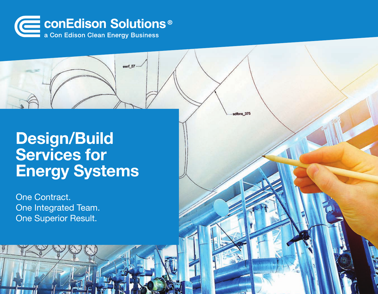

ewrf  $57$ 

sdfbns 375

## Design/Build Services for Energy Systems

One Contract. One Integrated Team. One Superior Result.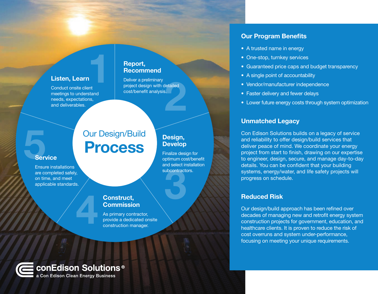#### Listen, Learn

Conduct onsite client meetings to understand needs, expectations, and deliverables.

#### Report, Recommend

Deliver a preliminary project design with detailed cost/benefit analysis. Report,<br>
Recommend<br>
Deliver a preliminary<br>
project design with detailed<br>
cost/benefit analysis.<br>
ms,<br>
expansions,

### Our Design/Build Process

# **Service** Ser

Ensure installations are completed safely, on time, and meet applicable standards.

#### Design, Develop

Finalize design for optimum cost/benefit and select installation subcontractors. Maria Construction

#### Construct, **Commission**

As primary contractor, **Example: 1989 Construct, Commission**<br>As primary contractor, provide a dedicated onsite construction manager.

### conEdison Solutions<sup>®</sup>

a Con Edison Clean Energy Business

#### Our Program Benefits

- A trusted name in energy
- One-stop, turnkey services
- Guaranteed price caps and budget transparency
- A single point of accountability
- Vendor/manufacturer independence
- Faster delivery and fewer delays
- Lower future energy costs through system optimization

#### Unmatched Legacy

Con Edison Solutions builds on a legacy of service and reliability to offer design/build services that deliver peace of mind. We coordinate your energy project from start to finish, drawing on our expertise to engineer, design, secure, and manage day-to-day details. You can be confident that your building systems, energy/water, and life safety projects will progress on schedule.

#### Reduced Risk

Our design/build approach has been refined over decades of managing new and retrofit energy system construction projects for government, education, and healthcare clients. It is proven to reduce the risk of cost overruns and system under-performance, focusing on meeting your unique requirements.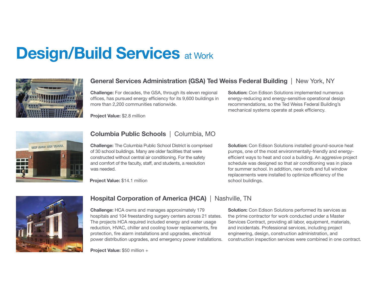# **Design/Build Services at Work**



#### General Services Administration (GSA) Ted Weiss Federal Building | New York, NY

Challenge: For decades, the GSA, through its eleven regional offices, has pursued energy efficiency for its 9,600 buildings in more than 2,200 communities nationwide.

Project Value: \$2.8 million

**Solution:** Con Edison Solutions implemented numerous energy-reducing and energy-sensitive operational design recommendations, so the Ted Weiss Federal Building's mechanical systems operate at peak efficiency.



#### Columbia Public Schools | Columbia, MO

Challenge: The Columbia Public School District is comprised of 30 school buildings. Many are older facilities that were constructed without central air conditioning. For the safety and comfort of the faculty, staff, and students, a resolution was needed.

Project Value: \$14.1 million

Solution: Con Edison Solutions installed ground-source heat pumps, one of the most environmentally-friendly and energyefficient ways to heat and cool a building. An aggresive project schedule was designed so that air conditioning was in place for summer school. In addition, new roofs and full window replacements were installed to optimize efficiency of the school buildings.



#### Hospital Corporation of America (HCA) | Nashville, TN

Challenge: HCA owns and manages approximately 179 hospitals and 104 freestanding surgery centers across 21 states. The projects HCA required included energy and water usage reduction, HVAC, chiller and cooling tower replacements, fire protection, fire alarm installations and upgrades, electrical power distribution upgrades, and emergency power installations.

Project Value: \$50 million +

Solution: Con Edison Solutions performed its services as the prime contractor for work conducted under a Master Services Contract, providing all labor, equipment, materials, and incidentals. Professional services, including project engineering, design, construction administration, and construction inspection services were combined in one contract.